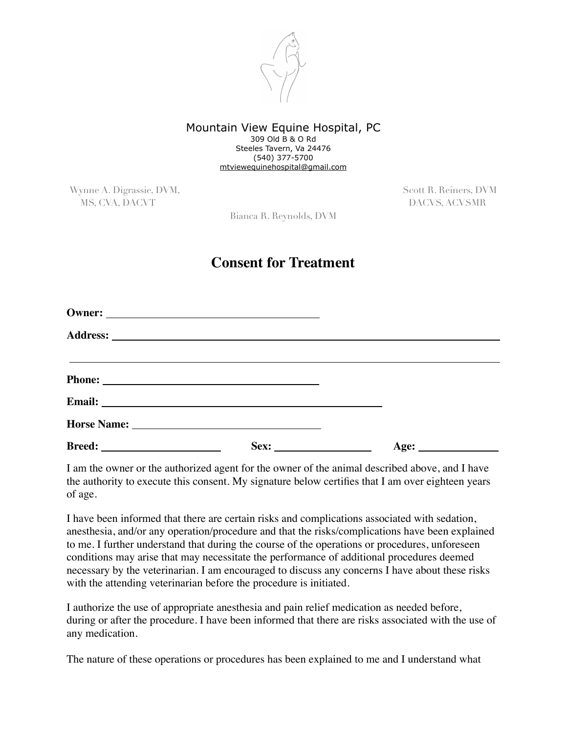

## Mountain View Equine Hospital, PC 309 Old B & O Rd Steeles Tavern, Va 24476 (540) 377-5700 [mtviewequinehospital@gmail.com](mailto:mtviewequinehospital@gmail.com)

Wynne A. Digrassie, DVM, Scott R. Reiners, DVM, Scott R. Reiners, DVM MS, CVA, DACVT DACVS, ACVSMR

Bianca R. Reynolds, DVM

## **Consent for Treatment**

|  | <u> Alexandro de la contrada de la contrada de la contrada de la contrada de la contrada de la contrada de la con</u> |
|--|-----------------------------------------------------------------------------------------------------------------------|
|  |                                                                                                                       |
|  |                                                                                                                       |
|  |                                                                                                                       |
|  | Age:                                                                                                                  |

I am the owner or the authorized agent for the owner of the animal described above, and I have the authority to execute this consent. My signature below certifies that I am over eighteen years of age.

I have been informed that there are certain risks and complications associated with sedation, anesthesia, and/or any operation/procedure and that the risks/complications have been explained to me. I further understand that during the course of the operations or procedures, unforeseen conditions may arise that may necessitate the performance of additional procedures deemed necessary by the veterinarian. I am encouraged to discuss any concerns I have about these risks with the attending veterinarian before the procedure is initiated.

I authorize the use of appropriate anesthesia and pain relief medication as needed before, during or after the procedure. I have been informed that there are risks associated with the use of any medication.

The nature of these operations or procedures has been explained to me and I understand what